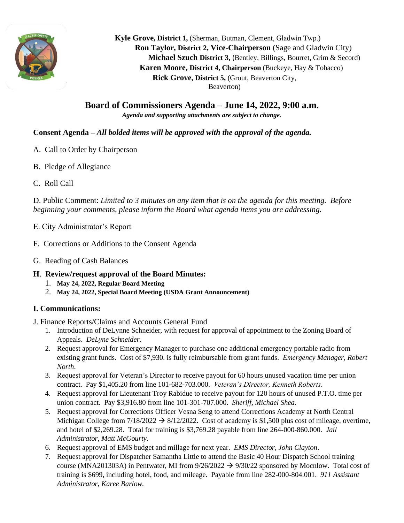

 **Kyle Grove, District 1,** (Sherman, Butman, Clement, Gladwin Twp.)  **Ron Taylor, District 2, Vice-Chairperson** (Sage and Gladwin City)  **Michael Szuch District 3,** (Bentley, Billings, Bourret, Grim & Secord) **Karen Moore, District 4, Chairperson** (Buckeye, Hay & Tobacco) **Rick Grove, District 5,** (Grout, Beaverton City, Beaverton)

**Board of Commissioners Agenda – June 14, 2022, 9:00 a.m.** *Agenda and supporting attachments are subject to change.*

# **Consent Agenda –** *All bolded items will be approved with the approval of the agenda.*

- A. Call to Order by Chairperson
- B. Pledge of Allegiance
- C. Roll Call

D. Public Comment: *Limited to 3 minutes on any item that is on the agenda for this meeting. Before beginning your comments, please inform the Board what agenda items you are addressing.*

- E. City Administrator's Report
- F. Corrections or Additions to the Consent Agenda
- G. Reading of Cash Balances

# **H**. **Review/request approval of the Board Minutes:**

- 1. **May 24, 2022, Regular Board Meeting**
- 2. **May 24, 2022, Special Board Meeting (USDA Grant Announcement)**

# **I. Communications:**

- J. Finance Reports/Claims and Accounts General Fund
	- 1. Introduction of DeLynne Schneider, with request for approval of appointment to the Zoning Board of Appeals. *DeLyne Schneider.*
	- 2. Request approval for Emergency Manager to purchase one additional emergency portable radio from existing grant funds. Cost of \$7,930. is fully reimbursable from grant funds. *Emergency Manager, Robert North*.
	- 3. Request approval for Veteran's Director to receive payout for 60 hours unused vacation time per union contract. Pay \$1,405.20 from line 101-682-703.000. *Veteran's Director, Kenneth Roberts*.
	- 4. Request approval for Lieutenant Troy Rabidue to receive payout for 120 hours of unused P.T.O. time per union contract. Pay \$3,916.80 from line 101-301-707.000. *Sheriff, Michael Shea.*
	- 5. Request approval for Corrections Officer Vesna Seng to attend Corrections Academy at North Central Michigan College from  $7/18/2022 \rightarrow 8/12/2022$ . Cost of academy is \$1,500 plus cost of mileage, overtime, and hotel of \$2,269.28. Total for training is \$3,769.28 payable from line 264-000-860.000. *Jail Administrator, Matt McGourty.*
	- 6. Request approval of EMS budget and millage for next year. *EMS Director, John Clayton*.
	- 7. Request approval for Dispatcher Samantha Little to attend the Basic 40 Hour Dispatch School training course (MNA201303A) in Pentwater, MI from  $9/26/2022 \rightarrow 9/30/22$  sponsored by Mocnlow. Total cost of training is \$699, including hotel, food, and mileage. Payable from line 282-000-804.001. *911 Assistant Administrator, Karee Barlow.*